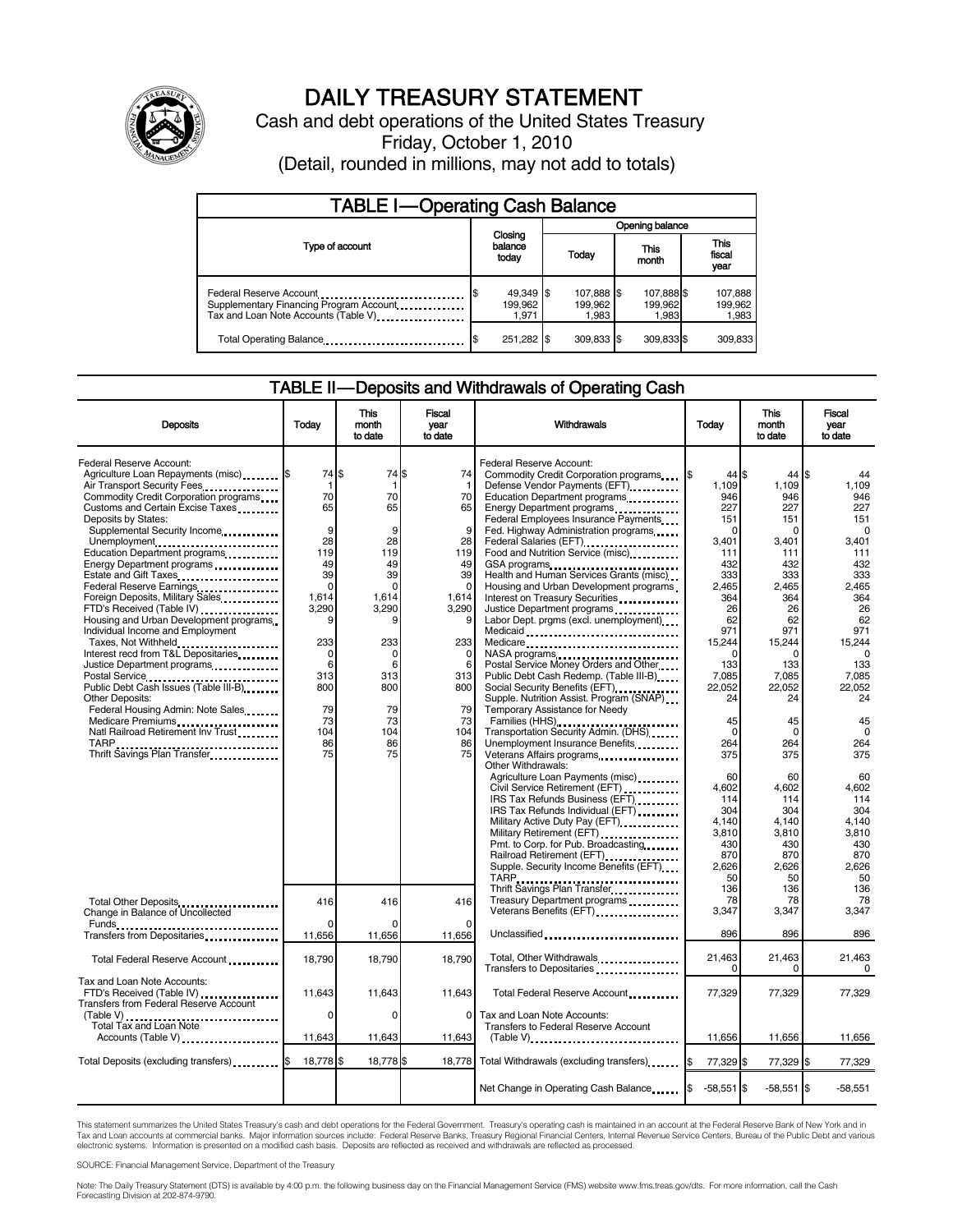

# DAILY TREASURY STATEMENT

Cash and debt operations of the United States Treasury Friday, October 1, 2010 (Detail, rounded in millions, may not add to totals)

| <b>TABLE I-Operating Cash Balance</b>                                                                       |                               |                                |                                |                               |  |  |  |
|-------------------------------------------------------------------------------------------------------------|-------------------------------|--------------------------------|--------------------------------|-------------------------------|--|--|--|
|                                                                                                             |                               | Opening balance                |                                |                               |  |  |  |
| Type of account                                                                                             | Closing<br>balance<br>today   | This<br>Today<br>month         |                                | <b>This</b><br>fiscal<br>year |  |  |  |
| Federal Reserve Account<br>Supplementary Financing Program Account.<br>Tax and Loan Note Accounts (Table V) | 49,349 \$<br>199,962<br>1.971 | 107,888 \$<br>199.962<br>1.983 | 107,888 \$<br>199,962<br>1.983 | 107,888<br>199,962<br>1,983   |  |  |  |
| Total Operating Balance                                                                                     | 251,282 \$                    | 309,833 \$                     | 309,833 \$                     | 309,833                       |  |  |  |

## TABLE II-Deposits and Withdrawals of Operating Cash

| <b>Deposits</b>                                                                                                                                                                                                                                                                                                                                                                                                                                                                                                                                                                                                                                                                                                                                                                                                                                   | Todav                                                                                                                                                               | <b>This</b><br>month<br>to date                                                                                                                         | Fiscal<br>vear<br>to date                                                                                                                                  | Withdrawals                                                                                                                                                                                                                                                                                                                                                                                                                                                                                                                                                                                                                                                                                                                                                                                                                                                                                                                                                                                                                                                                                                                                                                                                                   | Today                                                                                                                                                                                                                                                                               | <b>This</b><br>month<br>to date                                                                                                                                                                                                                                              | <b>Fiscal</b><br>year<br>to date                                                                                                                                                                                                                                                |
|---------------------------------------------------------------------------------------------------------------------------------------------------------------------------------------------------------------------------------------------------------------------------------------------------------------------------------------------------------------------------------------------------------------------------------------------------------------------------------------------------------------------------------------------------------------------------------------------------------------------------------------------------------------------------------------------------------------------------------------------------------------------------------------------------------------------------------------------------|---------------------------------------------------------------------------------------------------------------------------------------------------------------------|---------------------------------------------------------------------------------------------------------------------------------------------------------|------------------------------------------------------------------------------------------------------------------------------------------------------------|-------------------------------------------------------------------------------------------------------------------------------------------------------------------------------------------------------------------------------------------------------------------------------------------------------------------------------------------------------------------------------------------------------------------------------------------------------------------------------------------------------------------------------------------------------------------------------------------------------------------------------------------------------------------------------------------------------------------------------------------------------------------------------------------------------------------------------------------------------------------------------------------------------------------------------------------------------------------------------------------------------------------------------------------------------------------------------------------------------------------------------------------------------------------------------------------------------------------------------|-------------------------------------------------------------------------------------------------------------------------------------------------------------------------------------------------------------------------------------------------------------------------------------|------------------------------------------------------------------------------------------------------------------------------------------------------------------------------------------------------------------------------------------------------------------------------|---------------------------------------------------------------------------------------------------------------------------------------------------------------------------------------------------------------------------------------------------------------------------------|
| Federal Reserve Account:<br>Agriculture Loan Repayments (misc) \$<br>Air Transport Security Fees<br>Commodity Credit Corporation programs<br>Customs and Certain Excise Taxes<br>Deposits by States:<br>Supplemental Security Income<br>Unemployment<br>Education Department programs<br>Energy Department programs<br><br>Estate and Gift Taxes<br><br>Federal Reserve Earnings<br>Foreign Deposits, Military Sales<br>FTD's Received (Table IV)<br>Housing and Urban Development programs<br>Individual Income and Employment<br>Taxes, Not Withheld<br>Interest recd from T&L Depositaries<br>Justice Department programs<br>Postal Service<br>Public Debt Cash Issues (Table III-B)<br><b>Other Deposits:</b><br>Federal Housing Admin: Note Sales<br>Medicare Premiums<br>Natl Railroad Retirement Inv Trust<br>Thrift Savings Plan Transfer | 74 \$<br>-1<br>70<br>65<br>9<br>28<br>119<br>49<br>39<br>$\mathbf 0$<br>1,614<br>3,290<br>9<br>233<br>$\mathbf 0$<br>6<br>313<br>800<br>79<br>73<br>104<br>86<br>75 | 74 \$<br>70<br>65<br>9<br>28<br>119<br>49<br>39<br>$\Omega$<br>1,614<br>3,290<br>g<br>233<br>$\Omega$<br>6<br>313<br>800<br>79<br>73<br>104<br>86<br>75 | 74<br>-1<br>70<br>65<br>9<br>28<br>119<br>49<br>39<br>$\Omega$<br>1,614<br>3,290<br>9<br>233<br>$\Omega$<br>6<br>313<br>800<br>79<br>73<br>104<br>86<br>75 | Federal Reserve Account:<br>Commodity Credit Corporation programs<br>Defense Vendor Payments (EFT)<br>Education Department programs<br>Energy Department programs<br>Federal Employees Insurance Payments<br>Fed. Highway Administration programs<br>Federal Salaries (EFT)<br>Food and Nutrition Service (misc)<br>GSA programs<br>Health and Human Services Grants (misc)<br>Housing and Urban Development programs<br>Interest on Treasury Securities<br>Justice Department programs<br><br>Labor Dept. prgms (excl. unemployment)<br>Medicaid<br>Medicare<br>NASA programs<br>Postal Service Money Orders and Other<br>Public Debt Cash Redemp. (Table III-B)<br>Social Security Benefits (EFT)<br>Supple. Nutrition Assist. Program (SNAP)<br>Temporary Assistance for Needy<br>Families (HHS)<br>Transportation Security Admin. (DHS)<br>Unemployment Insurance Benefits<br>Other Withdrawals:<br>Agriculture Loan Payments (misc)<br>Civil Service Retirement (EFT)<br>IRS Tax Refunds Business (EFT)<br>IRS Tax Refunds Individual (EFT)<br>Military Active Duty Pay (EFT)<br>Military Retirement (EFT)<br>Pmt. to Corp. for Pub. Broadcasting<br>Railroad Retirement (EFT)<br>Supple. Security Income Benefits (EFT) | $44$ S<br>1,109<br>946<br>227<br>151<br>$\Omega$<br>3,401<br>111<br>432<br>333<br>2,465<br>364<br>26<br>62<br>971<br>15,244<br>$\Omega$<br>133<br>7,085<br>22,052<br>24<br>45<br>$\Omega$<br>264<br>375<br>60<br>4.602<br>114<br>304<br>4,140<br>3,810<br>430<br>870<br>2,626<br>50 | $44$ S<br>1,109<br>946<br>227<br>151<br>$\Omega$<br>3.401<br>111<br>432<br>333<br>2.465<br>364<br>26<br>62<br>971<br>15,244<br>C<br>133<br>7,085<br>22,052<br>24<br>45<br>$\Omega$<br>264<br>375<br>60<br>4.602<br>114<br>304<br>4,140<br>3,810<br>430<br>870<br>2,626<br>50 | 44<br>1.109<br>946<br>227<br>151<br>$\Omega$<br>3,401<br>111<br>432<br>333<br>2,465<br>364<br>26<br>62<br>971<br>15.244<br>$\Omega$<br>133<br>7,085<br>22,052<br>24<br>45<br>$\Omega$<br>264<br>375<br>60<br>4.602<br>114<br>304<br>4,140<br>3,810<br>430<br>870<br>2,626<br>50 |
| Total Other Deposits<br>Change in Balance of Uncollected                                                                                                                                                                                                                                                                                                                                                                                                                                                                                                                                                                                                                                                                                                                                                                                          | 416<br>$\Omega$                                                                                                                                                     | 416                                                                                                                                                     | 416<br>O                                                                                                                                                   | Thrift Savings Plan Transfer<br>Treasury Department programs<br>Veterans Benefits (EFT)                                                                                                                                                                                                                                                                                                                                                                                                                                                                                                                                                                                                                                                                                                                                                                                                                                                                                                                                                                                                                                                                                                                                       | 136<br>78<br>3,347                                                                                                                                                                                                                                                                  | 136<br>78<br>3,347                                                                                                                                                                                                                                                           | 136<br>78<br>3,347                                                                                                                                                                                                                                                              |
| Transfers from Depositaries                                                                                                                                                                                                                                                                                                                                                                                                                                                                                                                                                                                                                                                                                                                                                                                                                       | 11,656                                                                                                                                                              | 11,656                                                                                                                                                  | 11,656                                                                                                                                                     | Unclassified                                                                                                                                                                                                                                                                                                                                                                                                                                                                                                                                                                                                                                                                                                                                                                                                                                                                                                                                                                                                                                                                                                                                                                                                                  | 896                                                                                                                                                                                                                                                                                 | 896                                                                                                                                                                                                                                                                          | 896                                                                                                                                                                                                                                                                             |
| Total Federal Reserve Account                                                                                                                                                                                                                                                                                                                                                                                                                                                                                                                                                                                                                                                                                                                                                                                                                     | 18,790                                                                                                                                                              | 18,790                                                                                                                                                  | 18,790                                                                                                                                                     | Total, Other Withdrawals<br>Transfers to Depositaries                                                                                                                                                                                                                                                                                                                                                                                                                                                                                                                                                                                                                                                                                                                                                                                                                                                                                                                                                                                                                                                                                                                                                                         | 21,463<br>O                                                                                                                                                                                                                                                                         | 21,463<br>0                                                                                                                                                                                                                                                                  | 21,463<br>$\Omega$                                                                                                                                                                                                                                                              |
| Tax and Loan Note Accounts:<br>FTD's Received (Table IV)<br>Transfers from Federal Reserve Account                                                                                                                                                                                                                                                                                                                                                                                                                                                                                                                                                                                                                                                                                                                                                | 11,643                                                                                                                                                              | 11,643                                                                                                                                                  | 11,643                                                                                                                                                     | Total Federal Reserve Account                                                                                                                                                                                                                                                                                                                                                                                                                                                                                                                                                                                                                                                                                                                                                                                                                                                                                                                                                                                                                                                                                                                                                                                                 | 77,329                                                                                                                                                                                                                                                                              | 77,329                                                                                                                                                                                                                                                                       | 77,329                                                                                                                                                                                                                                                                          |
| (Table V)<br>Total Tax and Loan Note<br>Accounts (Table V)                                                                                                                                                                                                                                                                                                                                                                                                                                                                                                                                                                                                                                                                                                                                                                                        | 0<br>11,643                                                                                                                                                         | $\Omega$<br>11,643                                                                                                                                      | 0<br>11,643                                                                                                                                                | Tax and Loan Note Accounts:<br>Transfers to Federal Reserve Account<br>$(Table V)$                                                                                                                                                                                                                                                                                                                                                                                                                                                                                                                                                                                                                                                                                                                                                                                                                                                                                                                                                                                                                                                                                                                                            | 11,656                                                                                                                                                                                                                                                                              | 11,656                                                                                                                                                                                                                                                                       | 11,656                                                                                                                                                                                                                                                                          |
| Total Deposits (excluding transfers) <b>S</b>                                                                                                                                                                                                                                                                                                                                                                                                                                                                                                                                                                                                                                                                                                                                                                                                     | 18,778 \$                                                                                                                                                           | 18,778 \$                                                                                                                                               | 18,778                                                                                                                                                     | Total Withdrawals (excluding transfers)                                                                                                                                                                                                                                                                                                                                                                                                                                                                                                                                                                                                                                                                                                                                                                                                                                                                                                                                                                                                                                                                                                                                                                                       | 77,329                                                                                                                                                                                                                                                                              | 77,329 \$                                                                                                                                                                                                                                                                    | 77,329                                                                                                                                                                                                                                                                          |
|                                                                                                                                                                                                                                                                                                                                                                                                                                                                                                                                                                                                                                                                                                                                                                                                                                                   |                                                                                                                                                                     |                                                                                                                                                         |                                                                                                                                                            | Net Change in Operating Cash Balance                                                                                                                                                                                                                                                                                                                                                                                                                                                                                                                                                                                                                                                                                                                                                                                                                                                                                                                                                                                                                                                                                                                                                                                          | $-58,551$ \$<br>1\$                                                                                                                                                                                                                                                                 | $-58,551$ \$                                                                                                                                                                                                                                                                 | $-58.551$                                                                                                                                                                                                                                                                       |

This statement summarizes the United States Treasury's cash and debt operations for the Federal Government. Treasury's operating cash is maintained in an account at the Federal Reserve Bank of New York and in Tax and Loan accounts at commercial banks. Major information sources include: Federal Reserve Banks, Treasury Regional Financial Centers, Internal Revenue Service Centers, Bureau of the Public Debt and various<br>electronic s

SOURCE: Financial Management Service, Department of the Treasury

Note: The Daily Treasury Statement (DTS) is available by 4:00 p.m. the following business day on the Financial Management Service (FMS) website www.fms.treas.gov/dts. For more information, call the Cash<br>Forecasting Divisio